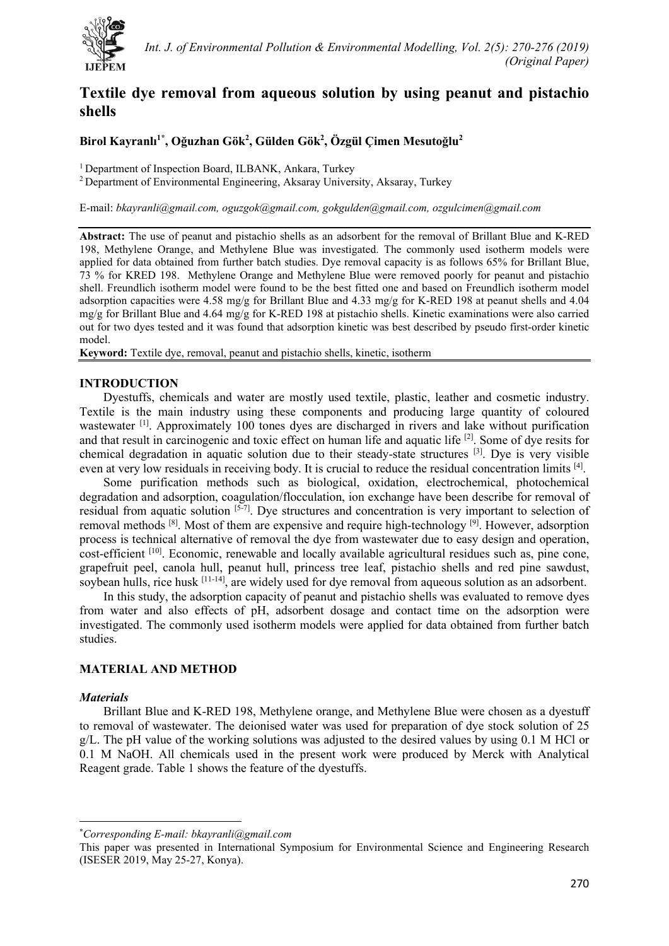

# **Textile dye removal from aqueous solution by using peanut and pistachio shells**

**Birol Kayranlı 1[\\*](#page-0-0) , Oğuzhan Gök2 , Gülden Gök2 , Özgül Çimen Mesutoğlu<sup>2</sup>**

<sup>1</sup> Department of Inspection Board, ILBANK, Ankara, Turkey  $\frac{2}{3}$  Department of Environmental Engineering, Aksaray University, Aksaray, Turkey

E-mail: *[bkayranli@gmail.com,](mailto:bkayranli@gmail.com) [oguzgok@gmail.com,](mailto:oguzgok@gmail.com) [gokgulden@gmail.com,](mailto:gokgulden@gmail.com) [ozgulcimen@gmail.com](mailto:ozgulcimen@gmail.com)*

**Abstract:** The use of peanut and pistachio shells as an adsorbent for the removal of Brillant Blue and K-RED 198, Methylene Orange, and Methylene Blue was investigated. The commonly used isotherm models were applied for data obtained from further batch studies. Dye removal capacity is as follows 65% for Brillant Blue, 73 % for KRED 198. Methylene Orange and Methylene Blue were removed poorly for peanut and pistachio shell. Freundlich isotherm model were found to be the best fitted one and based on Freundlich isotherm model adsorption capacities were 4.58 mg/g for Brillant Blue and 4.33 mg/g for K-RED 198 at peanut shells and 4.04 mg/g for Brillant Blue and 4.64 mg/g for K-RED 198 at pistachio shells. Kinetic examinations were also carried out for two dyes tested and it was found that adsorption kinetic was best described by pseudo first-order kinetic model.

**Keyword:** Textile dye, removal, peanut and pistachio shells, kinetic, isotherm

# **INTRODUCTION**

Dyestuffs, chemicals and water are mostly used textile, plastic, leather and cosmetic industry. Textile is the main industry using these components and producing large quantity of coloured wastewater <sup>[1]</sup>. Approximately 100 tones dyes are discharged in rivers and lake without purification and that result in carcinogenic and toxic effect on human life and aquatic life [2]. Some of dye resits for chemical degradation in aquatic solution due to their steady-state structures [3]. Dye is very visible even at very low residuals in receiving body. It is crucial to reduce the residual concentration limits [4].

Some purification methods such as biological, oxidation, electrochemical, photochemical degradation and adsorption, coagulation/flocculation, ion exchange have been describe for removal of residual from aquatic solution [5-7]. Dye structures and concentration is very important to selection of removal methods  $^{[8]}$ . Most of them are expensive and require high-technology  $^{[9]}$ . However, adsorption process is technical alternative of removal the dye from wastewater due to easy design and operation, cost-efficient [10]. Economic, renewable and locally available agricultural residues such as, pine cone, grapefruit peel, canola hull, peanut hull, princess tree leaf, pistachio shells and red pine sawdust, soybean hulls, rice husk [11-14], are widely used for dye removal from aqueous solution as an adsorbent.

In this study, the adsorption capacity of peanut and pistachio shells was evaluated to remove dyes from water and also effects of pH, adsorbent dosage and contact time on the adsorption were investigated. The commonly used isotherm models were applied for data obtained from further batch studies.

### **MATERIAL AND METHOD**

#### *Materials*

Brillant Blue and K-RED 198, Methylene orange, and Methylene Blue were chosen as a dyestuff to removal of wastewater. The deionised water was used for preparation of dye stock solution of 25 g/L. The pH value of the working solutions was adjusted to the desired values by using 0.1 M HCl or 0.1 M NaOH. All chemicals used in the present work were produced by Merck with Analytical Reagent grade. Table 1 shows the feature of the dyestuffs.

<span id="page-0-0"></span><sup>\*</sup> *Corresponding E-mail: [bkayranli@gmail.com](mailto:bkayranli@gmail.com)*

This paper was presented in International Symposium for Environmental Science and Engineering Research (ISESER 2019, May 25-27, Konya).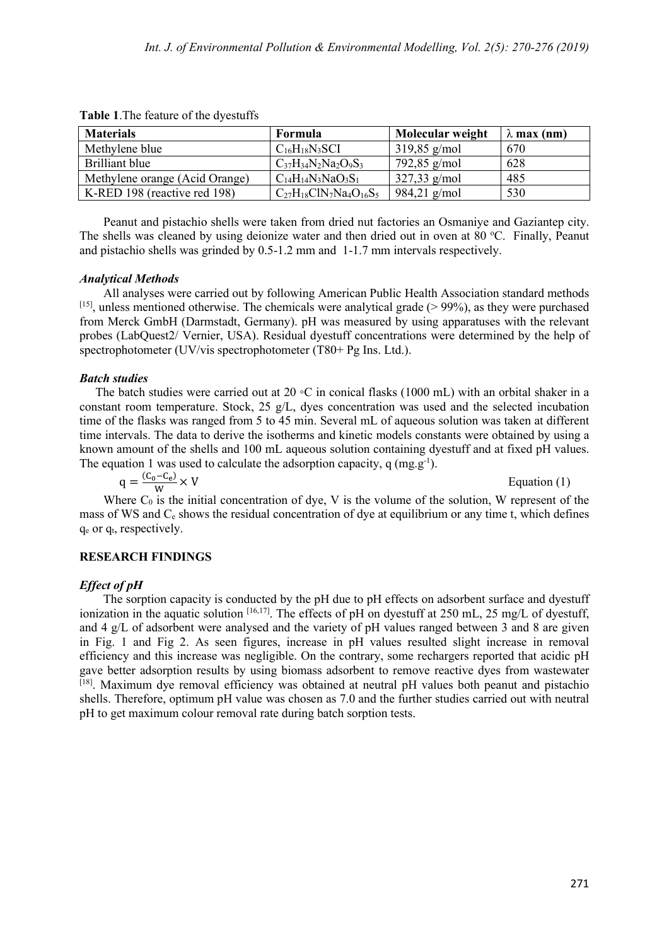| <b>Materials</b>               | Formula                          | Molecular weight | $\lambda$ max (nm) |
|--------------------------------|----------------------------------|------------------|--------------------|
| Methylene blue                 | $C_{16}H_{18}N_3SCI$             | $319,85$ g/mol   | 670                |
| Brilliant blue                 | $C_{37}H_{34}N_2Na_2O_9S_3$      | 792,85 g/mol     | 628                |
| Methylene orange (Acid Orange) | $C_{14}H_{14}N_3NaO_3S_1$        | $327,33$ g/mol   | 485                |
| K-RED 198 (reactive red 198)   | $C_{27}H_{18}C1N_7Na_4O_{16}S_5$ | $984,21$ g/mol   | 530                |

**Table 1**.The feature of the dyestuffs

Peanut and pistachio shells were taken from dried nut factories an Osmaniye and Gaziantep city. The shells was cleaned by using deionize water and then dried out in oven at 80 °C. Finally, Peanut and pistachio shells was grinded by 0.5-1.2 mm and 1-1.7 mm intervals respectively.

#### *Analytical Methods*

All analyses were carried out by following American Public Health Association standard methods [15], unless mentioned otherwise. The chemicals were analytical grade (> 99%), as they were purchased from Merck GmbH (Darmstadt, Germany). pH was measured by using apparatuses with the relevant probes (LabQuest2/ Vernier, USA). Residual dyestuff concentrations were determined by the help of spectrophotometer (UV/vis spectrophotometer (T80+ Pg Ins. Ltd.).

#### *Batch studies*

The batch studies were carried out at 20  $\circ$ C in conical flasks (1000 mL) with an orbital shaker in a constant room temperature. Stock, 25 g/L, dyes concentration was used and the selected incubation time of the flasks was ranged from 5 to 45 min. Several mL of aqueous solution was taken at different time intervals. The data to derive the isotherms and kinetic models constants were obtained by using a known amount of the shells and 100 mL aqueous solution containing dyestuff and at fixed pH values. The equation 1 was used to calculate the adsorption capacity,  $q$  (mg.g<sup>-1</sup>).

$$
q = \frac{(C_0 - C_e)}{W} \times V
$$
 Equation (1)

Where  $C_0$  is the initial concentration of dye, V is the volume of the solution, W represent of the mass of WS and C<sub>e</sub> shows the residual concentration of dye at equilibrium or any time t, which defines  $q_e$  or  $q_t$ , respectively.

# **RESEARCH FINDINGS**

# *Effect of pH*

The sorption capacity is conducted by the pH due to pH effects on adsorbent surface and dyestuff ionization in the aquatic solution  $[16,17]$ . The effects of pH on dyestuff at 250 mL, 25 mg/L of dyestuff, and 4 g/L of adsorbent were analysed and the variety of pH values ranged between 3 and 8 are given in Fig. 1 and Fig 2. As seen figures, increase in pH values resulted slight increase in removal efficiency and this increase was negligible. On the contrary, some rechargers reported that acidic pH gave better adsorption results by using biomass adsorbent to remove reactive dyes from wastewater [18]. Maximum dye removal efficiency was obtained at neutral pH values both peanut and pistachio shells. Therefore, optimum pH value was chosen as 7.0 and the further studies carried out with neutral pH to get maximum colour removal rate during batch sorption tests.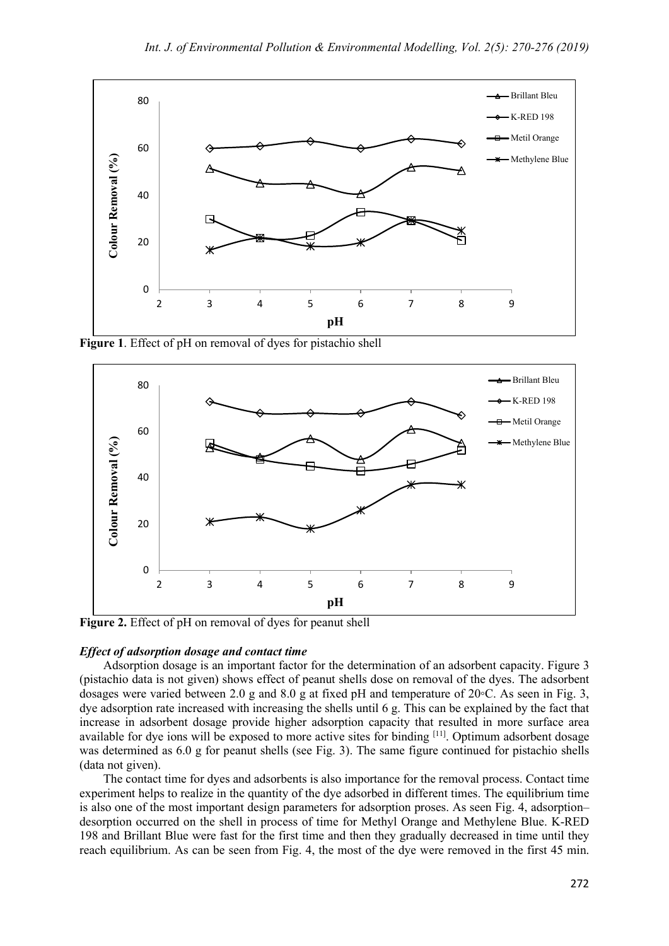

**Figure 1**. Effect of pH on removal of dyes for pistachio shell



**Figure 2.** Effect of pH on removal of dyes for peanut shell

#### *Effect of adsorption dosage and contact time*

Adsorption dosage is an important factor for the determination of an adsorbent capacity. Figure 3 (pistachio data is not given) shows effect of peanut shells dose on removal of the dyes. The adsorbent dosages were varied between 2.0 g and 8.0 g at fixed pH and temperature of 20◦C. As seen in Fig. 3, dye adsorption rate increased with increasing the shells until 6 g. This can be explained by the fact that increase in adsorbent dosage provide higher adsorption capacity that resulted in more surface area available for dye ions will be exposed to more active sites for binding [11]. Optimum adsorbent dosage was determined as 6.0 g for peanut shells (see Fig. 3). The same figure continued for pistachio shells (data not given).

The contact time for dyes and adsorbents is also importance for the removal process. Contact time experiment helps to realize in the quantity of the dye adsorbed in different times. The equilibrium time is also one of the most important design parameters for adsorption proses. As seen Fig. 4, adsorption– desorption occurred on the shell in process of time for Methyl Orange and Methylene Blue. K-RED 198 and Brillant Blue were fast for the first time and then they gradually decreased in time until they reach equilibrium. As can be seen from Fig. 4, the most of the dye were removed in the first 45 min.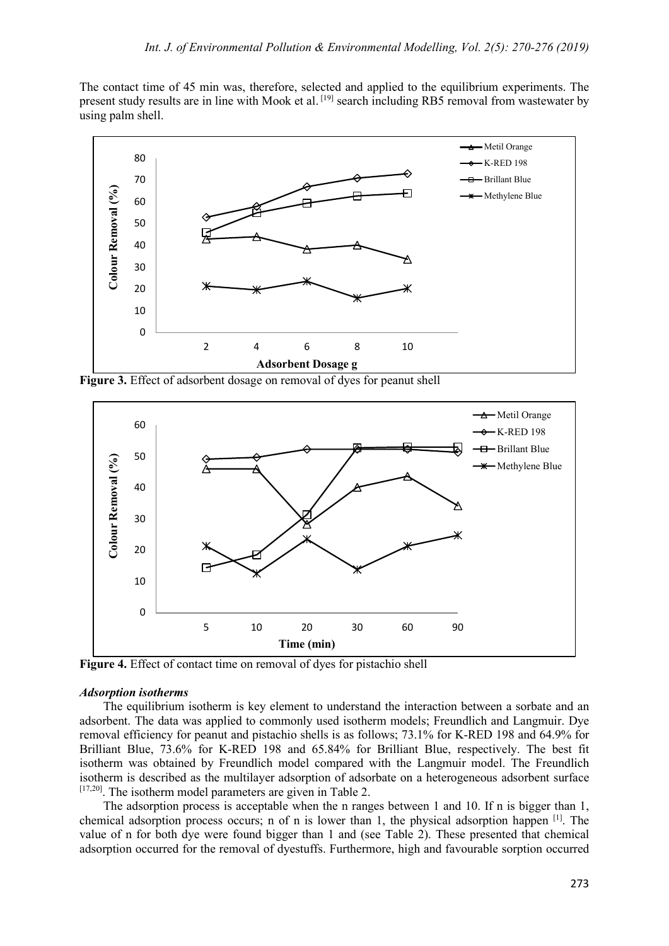The contact time of 45 min was, therefore, selected and applied to the equilibrium experiments. The present study results are in line with Mook et al. [19] search including RB5 removal from wastewater by using palm shell.



**Figure 3.** Effect of adsorbent dosage on removal of dyes for peanut shell



**Figure 4.** Effect of contact time on removal of dyes for pistachio shell

#### *Adsorption isotherms*

The equilibrium isotherm is key element to understand the interaction between a sorbate and an adsorbent. The data was applied to commonly used isotherm models; Freundlich and Langmuir. Dye removal efficiency for peanut and pistachio shells is as follows; 73.1% for K-RED 198 and 64.9% for Brilliant Blue, 73.6% for K-RED 198 and 65.84% for Brilliant Blue, respectively. The best fit isotherm was obtained by Freundlich model compared with the Langmuir model. The Freundlich isotherm is described as the multilayer adsorption of adsorbate on a heterogeneous adsorbent surface  $[17,20]$ . The isotherm model parameters are given in Table 2.

The adsorption process is acceptable when the n ranges between 1 and 10. If n is bigger than 1, chemical adsorption process occurs; n of n is lower than 1, the physical adsorption happen [1]. The value of n for both dye were found bigger than 1 and (see Table 2). These presented that chemical adsorption occurred for the removal of dyestuffs. Furthermore, high and favourable sorption occurred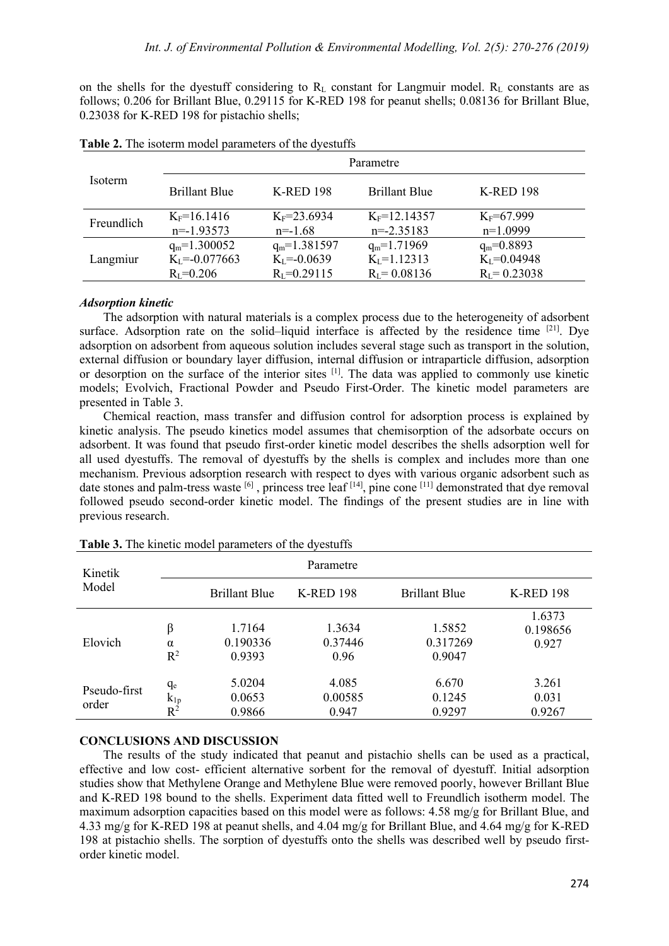on the shells for the dyestuff considering to  $R_L$  constant for Langmuir model.  $R_L$  constants are as follows; 0.206 for Brillant Blue, 0.29115 for K-RED 198 for peanut shells; 0.08136 for Brillant Blue, 0.23038 for K-RED 198 for pistachio shells;

| <b>Isoterm</b> | Parametre            |                   |                      |                   |  |
|----------------|----------------------|-------------------|----------------------|-------------------|--|
|                | <b>Brillant Blue</b> | <b>K-RED 198</b>  | <b>Brillant Blue</b> | <b>K-RED 198</b>  |  |
| Freundlich     | $K_F = 16.1416$      | $K_F = 23.6934$   | $K_F = 12.14357$     | $K_F = 67.999$    |  |
|                | $n=-1.93573$         | $n=-1.68$         | $n = -2.35183$       | $n=1.0999$        |  |
| Langmiur       | $q_m=1.300052$       | $q_m=1.381597$    | $q_m=1.71969$        | $q_m = 0.8893$    |  |
|                | $K_L = -0.077663$    | $K_l = -0.0639$   | $K_{L} = 1.12313$    | $K_{I} = 0.04948$ |  |
|                | $R_{I} = 0.206$      | $R_{I} = 0.29115$ | $R_{I} = 0.08136$    | $R_{I} = 0.23038$ |  |

### *Adsorption kinetic*

The adsorption with natural materials is a complex process due to the heterogeneity of adsorbent surface. Adsorption rate on the solid–liquid interface is affected by the residence time  $[21]$ . Dye adsorption on adsorbent from aqueous solution includes several stage such as transport in the solution, external diffusion or boundary layer diffusion, internal diffusion or intraparticle diffusion, adsorption or desorption on the surface of the interior sites [1]. The data was applied to commonly use kinetic models; Evolvich, Fractional Powder and Pseudo First-Order. The kinetic model parameters are presented in Table 3.

Chemical reaction, mass transfer and diffusion control for adsorption process is explained by kinetic analysis. The pseudo kinetics model assumes that chemisorption of the adsorbate occurs on adsorbent. It was found that pseudo first-order kinetic model describes the shells adsorption well for all used dyestuffs. The removal of dyestuffs by the shells is complex and includes more than one mechanism. Previous adsorption research with respect to dyes with various organic adsorbent such as date stones and palm-tress waste [6] , princess tree leaf [14], pine cone [11] demonstrated that dye removal followed pseudo second-order kinetic model. The findings of the present studies are in line with previous research.

| Kinetik<br>Model      |                         |                              | Parametre                 |                              |                             |
|-----------------------|-------------------------|------------------------------|---------------------------|------------------------------|-----------------------------|
|                       |                         | <b>Brillant Blue</b>         | <b>K-RED 198</b>          | <b>Brillant Blue</b>         | <b>K-RED 198</b>            |
| Elovich               | β<br>$\alpha$<br>$R^2$  | 1.7164<br>0.190336<br>0.9393 | 1.3634<br>0.37446<br>0.96 | 1.5852<br>0.317269<br>0.9047 | 1.6373<br>0.198656<br>0.927 |
| Pseudo-first<br>order | qe<br>$k_{1p}$<br>$R^2$ | 5.0204<br>0.0653<br>0.9866   | 4.085<br>0.00585<br>0.947 | 6.670<br>0.1245<br>0.9297    | 3.261<br>0.031<br>0.9267    |

**Table 3.** The kinetic model parameters of the dyestuffs

#### **CONCLUSIONS AND DISCUSSION**

The results of the study indicated that peanut and pistachio shells can be used as a practical, effective and low cost- efficient alternative sorbent for the removal of dyestuff. Initial adsorption studies show that Methylene Orange and Methylene Blue were removed poorly, however Brillant Blue and K-RED 198 bound to the shells. Experiment data fitted well to Freundlich isotherm model. The maximum adsorption capacities based on this model were as follows: 4.58 mg/g for Brillant Blue, and 4.33 mg/g for K-RED 198 at peanut shells, and 4.04 mg/g for Brillant Blue, and 4.64 mg/g for K-RED 198 at pistachio shells. The sorption of dyestuffs onto the shells was described well by pseudo firstorder kinetic model.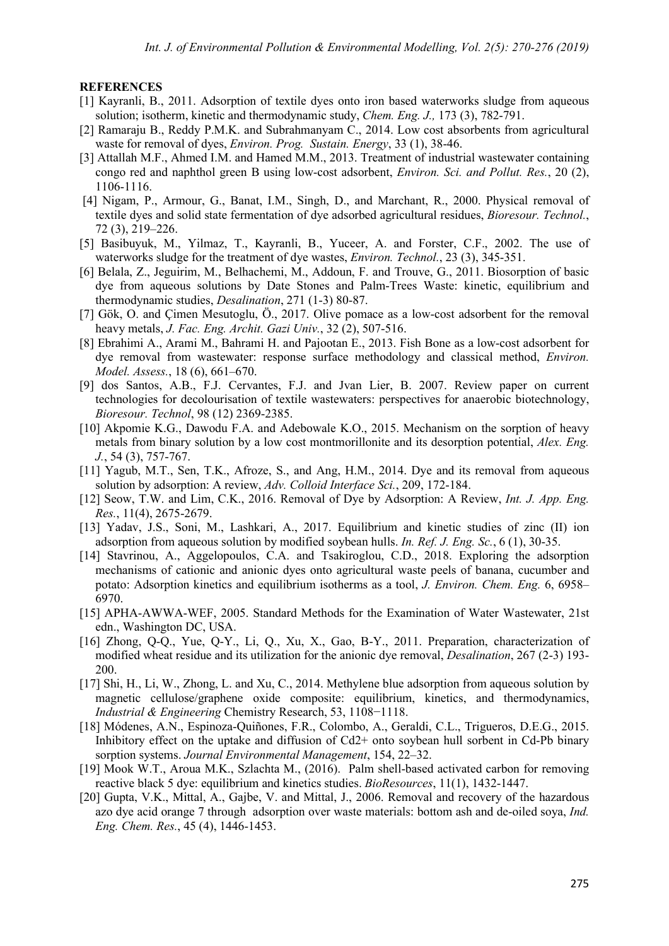#### **REFERENCES**

- [1] Kayranli, B., 2011. Adsorption of textile dyes onto iron based waterworks sludge from aqueous solution; isotherm, kinetic and thermodynamic study, *Chem. Eng. J.,* 173 (3), 782-791.
- [2] Ramaraju B., Reddy P.M.K. and Subrahmanyam C., 2014. Low cost absorbents from agricultural waste for removal of dyes, *Environ. Prog. Sustain. Energy*, 33 (1), 38-46.
- [3] Attallah M.F., Ahmed I.M. and Hamed M.M., 2013. Treatment of industrial wastewater containing congo red and naphthol green B using low-cost adsorbent, *Environ. Sci. and Pollut. Res.*, 20 (2), 1106-1116.
- [4] Nigam, P., Armour, G., Banat, I.M., Singh, D., and Marchant, R., 2000. Physical removal of textile dyes and solid state fermentation of dye adsorbed agricultural residues, *Bioresour. Technol.*, 72 (3), 219–226.
- [5] Basibuyuk, M., Yilmaz, T., Kayranli, B., Yuceer, A. and Forster, C.F., 2002. The use of waterworks sludge for the treatment of dye wastes, *Environ. Technol.*, 23 (3), 345-351.
- [6] Belala, Z., Jeguirim, M., Belhachemi, M., Addoun, F. and Trouve, G., 2011. Biosorption of basic dye from aqueous solutions by Date Stones and Palm-Trees Waste: kinetic, equilibrium and thermodynamic studies, *Desalination*, 271 (1-3) 80-87.
- [7] Gök, O. and Çimen Mesutoglu, Ö., 2017. Olive pomace as a low-cost adsorbent for the removal heavy metals, *J. Fac. Eng. Archit. Gazi Univ.*, 32 (2), 507-516.
- [8] Ebrahimi A., Arami M., Bahrami H. and Pajootan E., 2013. Fish Bone as a low-cost adsorbent for dye removal from wastewater: response surface methodology and classical method, *Environ. Model. Assess.*, 18 (6), 661–670.
- [9] dos Santos, A.B., F.J. Cervantes, F.J. and Jvan Lier, B. 2007. Review paper on current technologies for decolourisation of textile wastewaters: perspectives for anaerobic biotechnology, *Bioresour. Technol*, 98 (12) 2369-2385.
- [10] Akpomie K.G., Dawodu F.A. and Adebowale K.O., 2015. Mechanism on the sorption of heavy metals from binary solution by a low cost montmorillonite and its desorption potential, *Alex. Eng. J.*, 54 (3), 757-767.
- [11] Yagub, M.T., Sen, T.K., Afroze, S., and Ang, H.M., 2014. Dye and its removal from aqueous solution by adsorption: A review, *Adv. Colloid Interface Sci.*, 209, 172-184.
- [12] Seow, T.W. and Lim, C.K., 2016. Removal of Dye by Adsorption: A Review, *Int. J. App. Eng. Res.*, 11(4), 2675-2679.
- [13] Yadav, J.S., Soni, M., Lashkari, A., 2017. Equilibrium and kinetic studies of zinc (II) ion adsorption from aqueous solution by modified soybean hulls. *In. Ref. J. Eng. Sc.*, 6 (1), 30-35.
- [14] Stavrinou, A., Aggelopoulos, C.A. and Tsakiroglou, C.D., 2018. Exploring the adsorption mechanisms of cationic and anionic dyes onto agricultural waste peels of banana, cucumber and potato: Adsorption kinetics and equilibrium isotherms as a tool, *J. Environ. Chem. Eng.* 6, 6958– 6970.
- [15] APHA-AWWA-WEF, 2005. Standard Methods for the Examination of Water Wastewater, 21st edn., Washington DC, USA.
- [16] Zhong, Q-Q., Yue, Q-Y., Li, Q., Xu, X., Gao, B-Y., 2011. Preparation, characterization of modified wheat residue and its utilization for the anionic dye removal, *Desalination*, 267 (2-3) 193- 200.
- [17] Shi, H., Li, W., Zhong, L. and Xu, C., 2014. Methylene blue adsorption from aqueous solution by magnetic cellulose/graphene oxide composite: equilibrium, kinetics, and thermodynamics, *Industrial & Engineering* Chemistry Research, 53, 1108−1118.
- [18] Módenes, A.N., Espinoza-Quiñones, F.R., Colombo, A., Geraldi, C.L., Trigueros, D.E.G., 2015. Inhibitory effect on the uptake and diffusion of Cd2+ onto soybean hull sorbent in Cd-Pb binary sorption systems. *Journal Environmental Management*, 154, 22–32.
- [19] Mook W.T., Aroua M.K., Szlachta M., (2016). Palm shell-based activated carbon for removing reactive black 5 dye: equilibrium and kinetics studies. *BioResources*, 11(1), 1432-1447.
- [20] Gupta, V.K., Mittal, A., Gajbe, V. and Mittal, J., 2006. Removal and recovery of the hazardous azo dye acid orange 7 through adsorption over waste materials: bottom ash and de-oiled soya, *Ind. Eng. Chem. Res.*, 45 (4), 1446-1453.